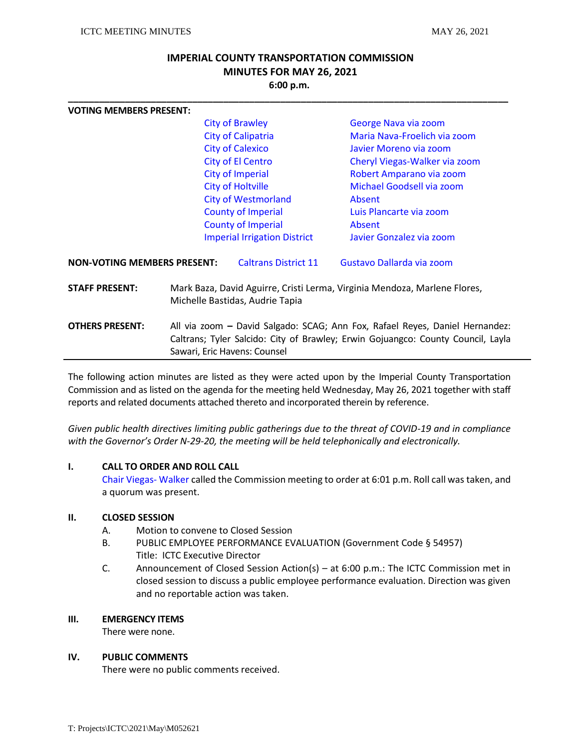# **IMPERIAL COUNTY TRANSPORTATION COMMISSION MINUTES FOR MAY 26, 2021 6:00 p.m.**

**\_\_\_\_\_\_\_\_\_\_\_\_\_\_\_\_\_\_\_\_\_\_\_\_\_\_\_\_\_\_\_\_\_\_\_\_\_\_\_\_\_\_\_\_\_\_\_\_\_\_\_\_\_\_\_\_\_\_\_\_\_\_\_\_\_\_\_\_\_\_\_\_\_\_\_\_\_\_\_\_\_\_\_\_\_**

| <b>VOTING MEMBERS PRESENT:</b>     |                                                                                                                                                                                                  |                                     |                                                           |  |
|------------------------------------|--------------------------------------------------------------------------------------------------------------------------------------------------------------------------------------------------|-------------------------------------|-----------------------------------------------------------|--|
|                                    | <b>City of Brawley</b><br><b>City of Calipatria</b>                                                                                                                                              |                                     | George Nava via zoom<br>Maria Nava-Froelich via zoom      |  |
|                                    |                                                                                                                                                                                                  |                                     |                                                           |  |
|                                    |                                                                                                                                                                                                  | <b>City of Calexico</b>             | Javier Moreno via zoom                                    |  |
|                                    | <b>City of El Centro</b><br>City of Imperial                                                                                                                                                     |                                     | Cheryl Viegas-Walker via zoom<br>Robert Amparano via zoom |  |
|                                    |                                                                                                                                                                                                  |                                     |                                                           |  |
|                                    |                                                                                                                                                                                                  | <b>City of Holtville</b>            | Michael Goodsell via zoom                                 |  |
|                                    | <b>City of Westmorland</b>                                                                                                                                                                       |                                     | Absent                                                    |  |
|                                    |                                                                                                                                                                                                  | <b>County of Imperial</b>           | Luis Plancarte via zoom                                   |  |
|                                    |                                                                                                                                                                                                  | <b>County of Imperial</b>           | Absent                                                    |  |
|                                    |                                                                                                                                                                                                  | <b>Imperial Irrigation District</b> | Javier Gonzalez via zoom                                  |  |
| <b>NON-VOTING MEMBERS PRESENT:</b> |                                                                                                                                                                                                  | <b>Caltrans District 11</b>         | Gustavo Dallarda via zoom                                 |  |
| <b>STAFF PRESENT:</b>              | Mark Baza, David Aguirre, Cristi Lerma, Virginia Mendoza, Marlene Flores,<br>Michelle Bastidas, Audrie Tapia                                                                                     |                                     |                                                           |  |
| <b>OTHERS PRESENT:</b>             | All via zoom – David Salgado: SCAG; Ann Fox, Rafael Reyes, Daniel Hernandez:<br>Caltrans; Tyler Salcido: City of Brawley; Erwin Gojuangco: County Council, Layla<br>Sawari, Eric Havens: Counsel |                                     |                                                           |  |
|                                    |                                                                                                                                                                                                  |                                     |                                                           |  |

The following action minutes are listed as they were acted upon by the Imperial County Transportation Commission and as listed on the agenda for the meeting held Wednesday, May 26, 2021 together with staff reports and related documents attached thereto and incorporated therein by reference.

*Given public health directives limiting public gatherings due to the threat of COVID-19 and in compliance with the Governor's Order N-29-20, the meeting will be held telephonically and electronically.* 

### **I. CALL TO ORDER AND ROLL CALL**

Chair Viegas- Walker called the Commission meeting to order at 6:01 p.m. Roll call was taken, and a quorum was present.

#### **II. CLOSED SESSION**

- A. Motion to convene to Closed Session
- B. PUBLIC EMPLOYEE PERFORMANCE EVALUATION (Government Code § 54957) Title: ICTC Executive Director
- C. Announcement of Closed Session Action(s) at 6:00 p.m.: The ICTC Commission met in closed session to discuss a public employee performance evaluation. Direction was given and no reportable action was taken.

### **III. EMERGENCY ITEMS**

There were none.

### **IV. PUBLIC COMMENTS**

There were no public comments received.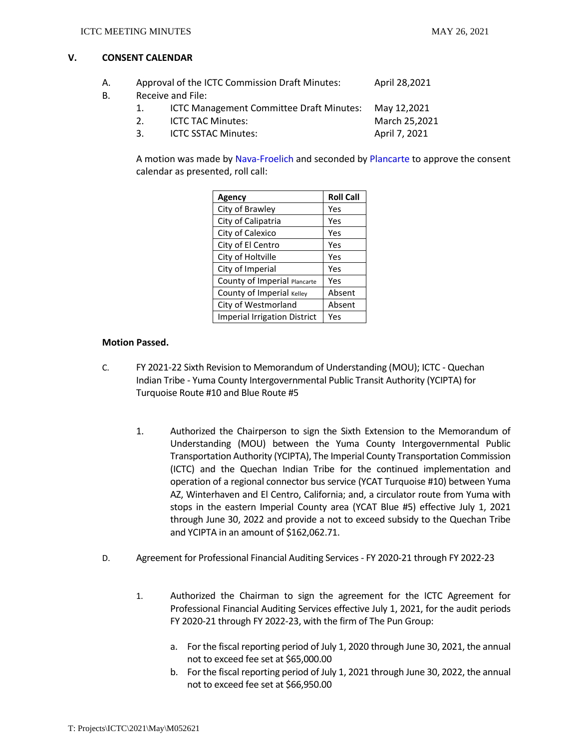### **V. CONSENT CALENDAR**

- A. Approval of the ICTC Commission Draft Minutes: April 28,2021 B. Receive and File:
	- 1. ICTC Management Committee Draft Minutes: May 12,2021 2. ICTC TAC Minutes: March 25,2021
	- 3. ICTC SSTAC Minutes: April 7, 2021

A motion was made by Nava-Froelich and seconded by Plancarte to approve the consent calendar as presented, roll call:

| Agency                              | <b>Roll Call</b> |
|-------------------------------------|------------------|
| City of Brawley                     | Yes              |
| City of Calipatria                  | Yes              |
| City of Calexico                    | Yes              |
| City of El Centro                   | Yes              |
| City of Holtville                   | Yes              |
| City of Imperial                    | Yes              |
| County of Imperial Plancarte        | Yes              |
| County of Imperial Kelley           | Absent           |
| City of Westmorland                 | Absent           |
| <b>Imperial Irrigation District</b> | Yes              |

## **Motion Passed.**

- C. FY 2021-22 Sixth Revision to Memorandum of Understanding (MOU); ICTC Quechan Indian Tribe - Yuma County Intergovernmental Public Transit Authority (YCIPTA) for Turquoise Route #10 and Blue Route #5
	- 1. Authorized the Chairperson to sign the Sixth Extension to the Memorandum of Understanding (MOU) between the Yuma County Intergovernmental Public Transportation Authority (YCIPTA), The Imperial County Transportation Commission (ICTC) and the Quechan Indian Tribe for the continued implementation and operation of a regional connector bus service (YCAT Turquoise #10) between Yuma AZ, Winterhaven and El Centro, California; and, a circulator route from Yuma with stops in the eastern Imperial County area (YCAT Blue #5) effective July 1, 2021 through June 30, 2022 and provide a not to exceed subsidy to the Quechan Tribe and YCIPTA in an amount of \$162,062.71.
- D. Agreement for Professional Financial Auditing Services FY 2020-21 through FY 2022-23
	- 1. Authorized the Chairman to sign the agreement for the ICTC Agreement for Professional Financial Auditing Services effective July 1, 2021, for the audit periods FY 2020-21 through FY 2022-23, with the firm of The Pun Group:
		- a. For the fiscal reporting period of July 1, 2020 through June 30, 2021, the annual not to exceed fee set at \$65,000.00
		- b. For the fiscal reporting period of July 1, 2021 through June 30, 2022, the annual not to exceed fee set at \$66,950.00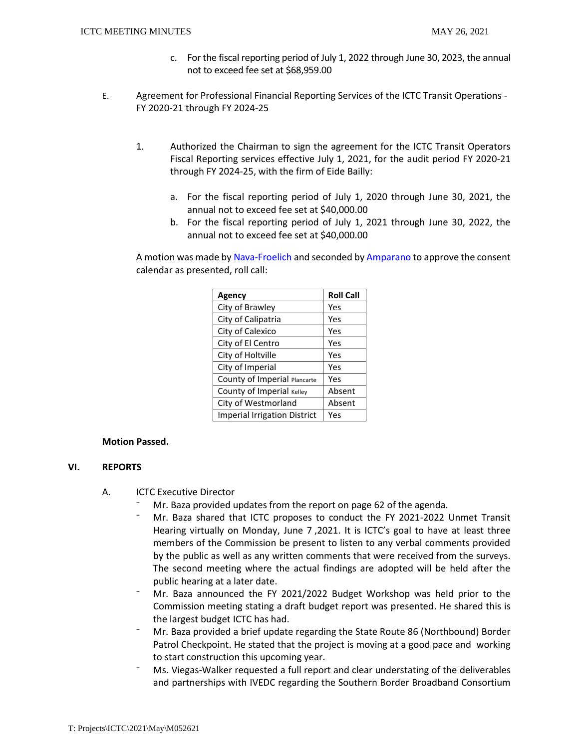- c. For the fiscal reporting period of July 1, 2022 through June 30, 2023, the annual not to exceed fee set at \$68,959.00
- E. Agreement for Professional Financial Reporting Services of the ICTC Transit Operations FY 2020-21 through FY 2024-25
	- 1. Authorized the Chairman to sign the agreement for the ICTC Transit Operators Fiscal Reporting services effective July 1, 2021, for the audit period FY 2020-21 through FY 2024-25, with the firm of Eide Bailly:
		- a. For the fiscal reporting period of July 1, 2020 through June 30, 2021, the annual not to exceed fee set at \$40,000.00
		- b. For the fiscal reporting period of July 1, 2021 through June 30, 2022, the annual not to exceed fee set at \$40,000.00

A motion was made by Nava-Froelich and seconded by Amparano to approve the consent calendar as presented, roll call:

| <b>Agency</b>                       | <b>Roll Call</b> |
|-------------------------------------|------------------|
| City of Brawley                     | Yes              |
| City of Calipatria                  | Yes              |
| City of Calexico                    | Yes              |
| City of El Centro                   | Yes              |
| City of Holtville                   | Yes              |
| City of Imperial                    | Yes              |
| County of Imperial Plancarte        | Yes              |
| County of Imperial Kelley           | Absent           |
| City of Westmorland                 | Absent           |
| <b>Imperial Irrigation District</b> | Yes              |

#### **Motion Passed.**

### **VI. REPORTS**

- A. ICTC Executive Director
	- Mr. Baza provided updates from the report on page 62 of the agenda.
	- ⁻ Mr. Baza shared that ICTC proposes to conduct the FY 2021-2022 Unmet Transit Hearing virtually on Monday, June 7 ,2021. It is ICTC's goal to have at least three members of the Commission be present to listen to any verbal comments provided by the public as well as any written comments that were received from the surveys. The second meeting where the actual findings are adopted will be held after the public hearing at a later date.
	- ⁻ Mr. Baza announced the FY 2021/2022 Budget Workshop was held prior to the Commission meeting stating a draft budget report was presented. He shared this is the largest budget ICTC has had.
	- ⁻ Mr. Baza provided a brief update regarding the State Route 86 (Northbound) Border Patrol Checkpoint. He stated that the project is moving at a good pace and working to start construction this upcoming year.
	- ⁻ Ms. Viegas-Walker requested a full report and clear understating of the deliverables and partnerships with IVEDC regarding the Southern Border Broadband Consortium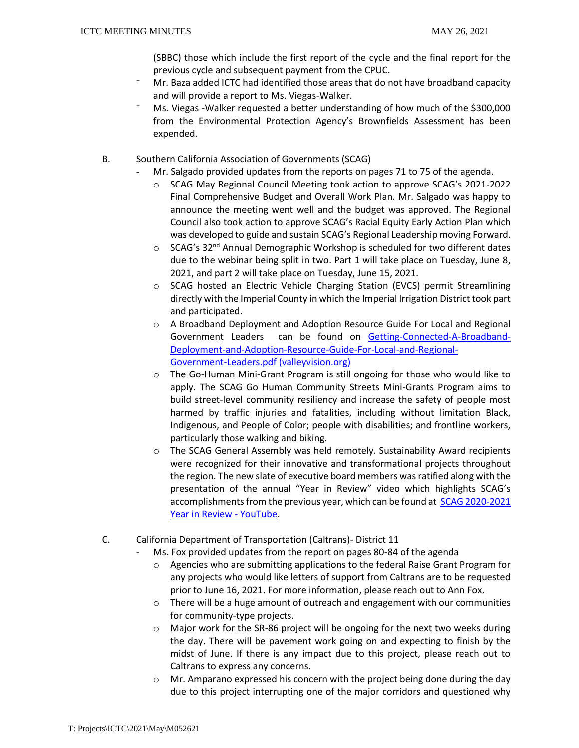(SBBC) those which include the first report of the cycle and the final report for the previous cycle and subsequent payment from the CPUC.

- ⁻ Mr. Baza added ICTC had identified those areas that do not have broadband capacity and will provide a report to Ms. Viegas-Walker.
- Ms. Viegas -Walker requested a better understanding of how much of the \$300,000 from the Environmental Protection Agency's Brownfields Assessment has been expended.
- B. Southern California Association of Governments (SCAG)
	- Mr. Salgado provided updates from the reports on pages 71 to 75 of the agenda.
		- o SCAG May Regional Council Meeting took action to approve SCAG's 2021-2022 Final Comprehensive Budget and Overall Work Plan. Mr. Salgado was happy to announce the meeting went well and the budget was approved. The Regional Council also took action to approve SCAG's Racial Equity Early Action Plan which was developed to guide and sustain SCAG's Regional Leadership moving Forward.
		- $\circ$  SCAG's 32<sup>nd</sup> Annual Demographic Workshop is scheduled for two different dates due to the webinar being split in two. Part 1 will take place on Tuesday, June 8, 2021, and part 2 will take place on Tuesday, June 15, 2021.
		- o SCAG hosted an Electric Vehicle Charging Station (EVCS) permit Streamlining directly with the Imperial County in which the Imperial Irrigation District took part and participated.
		- o A Broadband Deployment and Adoption Resource Guide For Local and Regional Government Leaders can be found on [Getting-Connected-A-Broadband-](https://www.valleyvision.org/wp-content/uploads/Getting-Connected-A-Broadband-Deployment-and-Adoption-Resource-Guide-For-Local-and-Regional-Government-Leaders.pdf)[Deployment-and-Adoption-Resource-Guide-For-Local-and-Regional-](https://www.valleyvision.org/wp-content/uploads/Getting-Connected-A-Broadband-Deployment-and-Adoption-Resource-Guide-For-Local-and-Regional-Government-Leaders.pdf)[Government-Leaders.pdf \(valleyvision.org\)](https://www.valleyvision.org/wp-content/uploads/Getting-Connected-A-Broadband-Deployment-and-Adoption-Resource-Guide-For-Local-and-Regional-Government-Leaders.pdf)
		- o The Go-Human Mini-Grant Program is still ongoing for those who would like to apply. The SCAG Go Human Community Streets Mini-Grants Program aims to build street-level community resiliency and increase the safety of people most harmed by traffic injuries and fatalities, including without limitation Black, Indigenous, and People of Color; people with disabilities; and frontline workers, particularly those walking and biking.
		- o The SCAG General Assembly was held remotely. Sustainability Award recipients were recognized for their innovative and transformational projects throughout the region. The new slate of executive board members was ratified along with the presentation of the annual "Year in Review" video which highlights SCAG's accomplishments from the previous year, which can be found at [SCAG 2020-2021](https://www.youtube.com/watch?v=JedSJEd4JFc)  [Year in Review -](https://www.youtube.com/watch?v=JedSJEd4JFc) YouTube.
- C. California Department of Transportation (Caltrans)- District 11
	- Ms. Fox provided updates from the report on pages 80-84 of the agenda
		- o Agencies who are submitting applications to the federal Raise Grant Program for any projects who would like letters of support from Caltrans are to be requested prior to June 16, 2021. For more information, please reach out to Ann Fox.
		- $\circ$  There will be a huge amount of outreach and engagement with our communities for community-type projects.
		- o Major work for the SR-86 project will be ongoing for the next two weeks during the day. There will be pavement work going on and expecting to finish by the midst of June. If there is any impact due to this project, please reach out to Caltrans to express any concerns.
		- o Mr. Amparano expressed his concern with the project being done during the day due to this project interrupting one of the major corridors and questioned why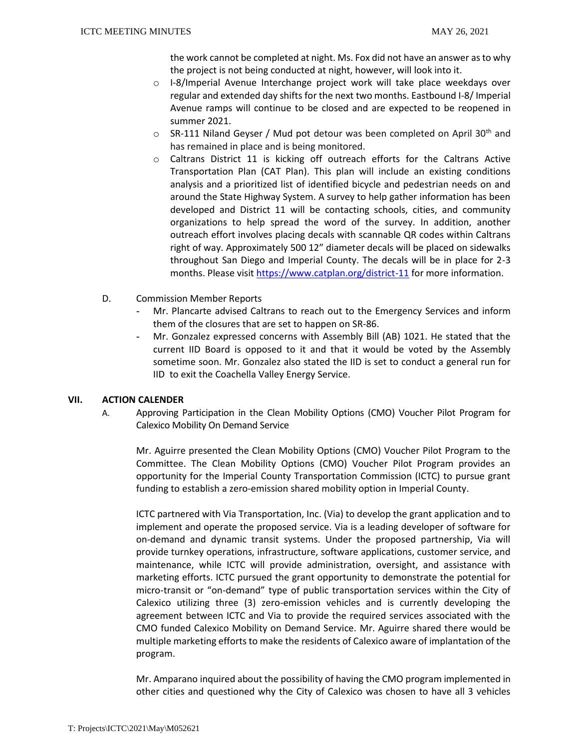the work cannot be completed at night. Ms. Fox did not have an answer as to why the project is not being conducted at night, however, will look into it.

- o I-8/Imperial Avenue Interchange project work will take place weekdays over regular and extended day shifts for the next two months. Eastbound I-8/ Imperial Avenue ramps will continue to be closed and are expected to be reopened in summer 2021.
- $\circ$  SR-111 Niland Geyser / Mud pot detour was been completed on April 30<sup>th</sup> and has remained in place and is being monitored.
- o Caltrans District 11 is kicking off outreach efforts for the Caltrans Active Transportation Plan (CAT Plan). This plan will include an existing conditions analysis and a prioritized list of identified bicycle and pedestrian needs on and around the State Highway System. A survey to help gather information has been developed and District 11 will be contacting schools, cities, and community organizations to help spread the word of the survey. In addition, another outreach effort involves placing decals with scannable QR codes within Caltrans right of way. Approximately 500 12" diameter decals will be placed on sidewalks throughout San Diego and Imperial County. The decals will be in place for 2-3 months. Please visit<https://www.catplan.org/district-11> for more information.
- D. Commission Member Reports
	- Mr. Plancarte advised Caltrans to reach out to the Emergency Services and inform them of the closures that are set to happen on SR-86.
	- Mr. Gonzalez expressed concerns with Assembly Bill (AB) 1021. He stated that the current IID Board is opposed to it and that it would be voted by the Assembly sometime soon. Mr. Gonzalez also stated the IID is set to conduct a general run for IID to exit the Coachella Valley Energy Service.

## **VII. ACTION CALENDER**

A. Approving Participation in the Clean Mobility Options (CMO) Voucher Pilot Program for Calexico Mobility On Demand Service

Mr. Aguirre presented the Clean Mobility Options (CMO) Voucher Pilot Program to the Committee. The Clean Mobility Options (CMO) Voucher Pilot Program provides an opportunity for the Imperial County Transportation Commission (ICTC) to pursue grant funding to establish a zero-emission shared mobility option in Imperial County.

ICTC partnered with Via Transportation, Inc. (Via) to develop the grant application and to implement and operate the proposed service. Via is a leading developer of software for on-demand and dynamic transit systems. Under the proposed partnership, Via will provide turnkey operations, infrastructure, software applications, customer service, and maintenance, while ICTC will provide administration, oversight, and assistance with marketing efforts. ICTC pursued the grant opportunity to demonstrate the potential for micro-transit or "on-demand" type of public transportation services within the City of Calexico utilizing three (3) zero-emission vehicles and is currently developing the agreement between ICTC and Via to provide the required services associated with the CMO funded Calexico Mobility on Demand Service. Mr. Aguirre shared there would be multiple marketing efforts to make the residents of Calexico aware of implantation of the program.

Mr. Amparano inquired about the possibility of having the CMO program implemented in other cities and questioned why the City of Calexico was chosen to have all 3 vehicles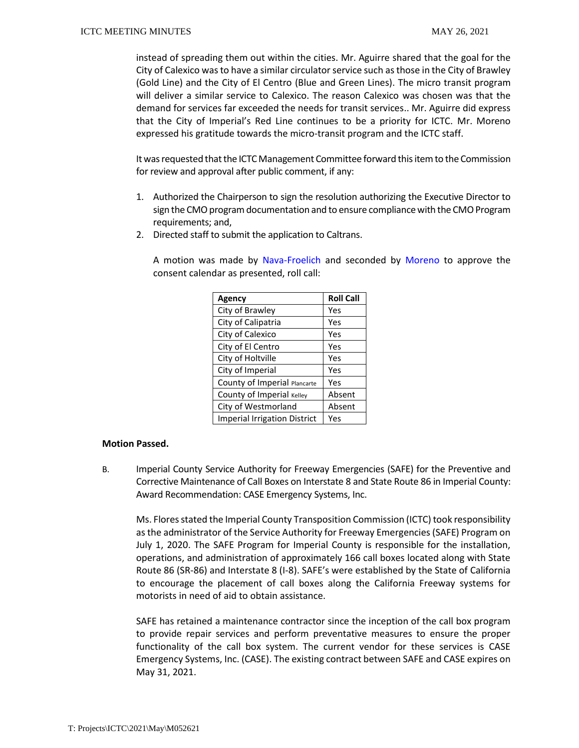instead of spreading them out within the cities. Mr. Aguirre shared that the goal for the City of Calexico was to have a similar circulator service such as those in the City of Brawley (Gold Line) and the City of El Centro (Blue and Green Lines). The micro transit program will deliver a similar service to Calexico. The reason Calexico was chosen was that the demand for services far exceeded the needs for transit services.. Mr. Aguirre did express that the City of Imperial's Red Line continues to be a priority for ICTC. Mr. Moreno expressed his gratitude towards the micro-transit program and the ICTC staff.

It was requested that the ICTC Management Committee forward this item to the Commission for review and approval after public comment, if any:

- 1. Authorized the Chairperson to sign the resolution authorizing the Executive Director to sign the CMO program documentation and to ensure compliance with the CMO Program requirements; and,
- 2. Directed staff to submit the application to Caltrans.

A motion was made by Nava-Froelich and seconded by Moreno to approve the consent calendar as presented, roll call:

| <b>Agency</b>                       | <b>Roll Call</b> |
|-------------------------------------|------------------|
| City of Brawley                     | Yes              |
| City of Calipatria                  | Yes              |
| City of Calexico                    | Yes              |
| City of El Centro                   | Yes              |
| City of Holtville                   | Yes              |
| City of Imperial                    | Yes              |
| County of Imperial Plancarte        | Yes              |
| County of Imperial Kelley           | Absent           |
| City of Westmorland                 | Absent           |
| <b>Imperial Irrigation District</b> | Yes              |

#### **Motion Passed.**

B. Imperial County Service Authority for Freeway Emergencies (SAFE) for the Preventive and Corrective Maintenance of Call Boxes on Interstate 8 and State Route 86 in Imperial County: Award Recommendation: CASE Emergency Systems, Inc.

Ms. Flores stated the Imperial County Transposition Commission (ICTC) took responsibility as the administrator of the Service Authority for Freeway Emergencies (SAFE) Program on July 1, 2020. The SAFE Program for Imperial County is responsible for the installation, operations, and administration of approximately 166 call boxes located along with State Route 86 (SR-86) and Interstate 8 (I-8). SAFE's were established by the State of California to encourage the placement of call boxes along the California Freeway systems for motorists in need of aid to obtain assistance.

SAFE has retained a maintenance contractor since the inception of the call box program to provide repair services and perform preventative measures to ensure the proper functionality of the call box system. The current vendor for these services is CASE Emergency Systems, Inc. (CASE). The existing contract between SAFE and CASE expires on May 31, 2021.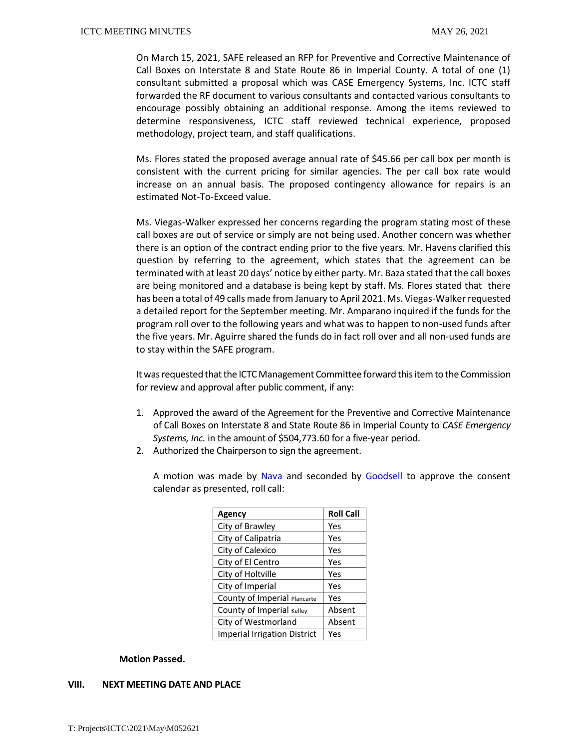On March 15, 2021, SAFE released an RFP for Preventive and Corrective Maintenance of Call Boxes on Interstate 8 and State Route 86 in Imperial County. A total of one (1) consultant submitted a proposal which was CASE Emergency Systems, Inc. ICTC staff forwarded the RF document to various consultants and contacted various consultants to encourage possibly obtaining an additional response. Among the items reviewed to determine responsiveness, ICTC staff reviewed technical experience, proposed methodology, project team, and staff qualifications.

Ms. Flores stated the proposed average annual rate of \$45.66 per call box per month is consistent with the current pricing for similar agencies. The per call box rate would increase on an annual basis. The proposed contingency allowance for repairs is an estimated Not-To-Exceed value.

Ms. Viegas-Walker expressed her concerns regarding the program stating most of these call boxes are out of service or simply are not being used. Another concern was whether there is an option of the contract ending prior to the five years. Mr. Havens clarified this question by referring to the agreement, which states that the agreement can be terminated with at least 20 days' notice by either party. Mr. Baza stated that the call boxes are being monitored and a database is being kept by staff. Ms. Flores stated that there has been a total of 49 calls made from January to April 2021. Ms. Viegas-Walker requested a detailed report for the September meeting. Mr. Amparano inquired if the funds for the program roll over to the following years and what was to happen to non-used funds after the five years. Mr. Aguirre shared the funds do in fact roll over and all non-used funds are to stay within the SAFE program.

It was requested that the ICTC Management Committee forward this item to the Commission for review and approval after public comment, if any:

- 1. Approved the award of the Agreement for the Preventive and Corrective Maintenance of Call Boxes on Interstate 8 and State Route 86 in Imperial County to *CASE Emergency Systems, Inc.* in the amount of \$504,773.60 for a five-year period.
- 2. Authorized the Chairperson to sign the agreement.

A motion was made by Nava and seconded by Goodsell to approve the consent calendar as presented, roll call:

| <b>Agency</b>                       | <b>Roll Call</b> |
|-------------------------------------|------------------|
| City of Brawley                     | Yes              |
| City of Calipatria                  | Yes              |
| City of Calexico                    | Yes              |
| City of El Centro                   | Yes              |
| City of Holtville                   | Yes              |
| City of Imperial                    | Yes              |
| County of Imperial Plancarte        | Yes              |
| County of Imperial Kelley           | Absent           |
| City of Westmorland                 | Absent           |
| <b>Imperial Irrigation District</b> | Yes              |

#### **Motion Passed.**

#### **VIII. NEXT MEETING DATE AND PLACE**